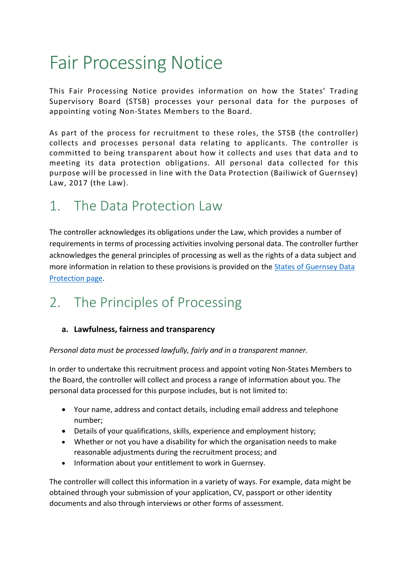# Fair Processing Notice

This Fair Processing Notice provides information on how the States' Trading Supervisory Board (STSB) processes your personal data for the purposes of appointing voting Non-States Members to the Board.

As part of the process for recruitment to these roles, the STSB (the controller) collects and processes personal data relating to applicants. The controller is committed to being transparent about how it collects and uses that data and to meeting its data protection obligations. All personal data collected for this purpose will be processed in line with the Data Protection (Bailiwick of Guernsey) Law, 2017 (the Law).

## 1. The Data Protection Law

The controller acknowledges its obligations under the Law, which provides a number of requirements in terms of processing activities involving personal data. The controller further acknowledges the general principles of processing as well as the rights of a data subject and more information in relation to these provisions is provided on the [States of Guernsey Data](https://gov.gg/dp)  [Protection page.](https://gov.gg/dp)

# 2. The Principles of Processing

#### **a. Lawfulness, fairness and transparency**

*Personal data must be processed lawfully, fairly and in a transparent manner.*

In order to undertake this recruitment process and appoint voting Non-States Members to the Board, the controller will collect and process a range of information about you. The personal data processed for this purpose includes, but is not limited to:

- Your name, address and contact details, including email address and telephone number;
- Details of your qualifications, skills, experience and employment history;
- Whether or not you have a disability for which the organisation needs to make reasonable adjustments during the recruitment process; and
- Information about your entitlement to work in Guernsey.

The controller will collect this information in a variety of ways. For example, data might be obtained through your submission of your application, CV, passport or other identity documents and also through interviews or other forms of assessment.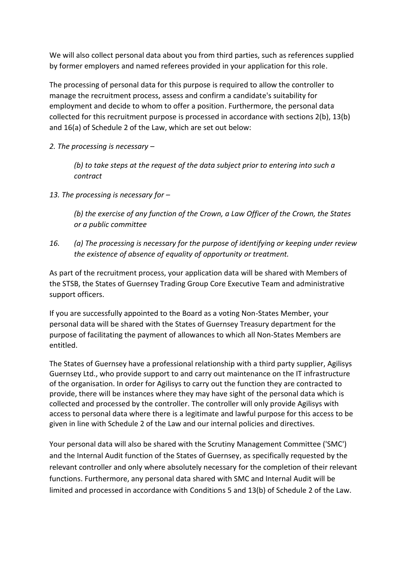We will also collect personal data about you from third parties, such as references supplied by former employers and named referees provided in your application for this role.

The processing of personal data for this purpose is required to allow the controller to manage the recruitment process, assess and confirm a candidate's suitability for employment and decide to whom to offer a position. Furthermore, the personal data collected for this recruitment purpose is processed in accordance with sections 2(b), 13(b) and 16(a) of Schedule 2 of the Law, which are set out below:

*2. The processing is necessary –*

*(b) to take steps at the request of the data subject prior to entering into such a contract*

*13. The processing is necessary for –*

*(b) the exercise of any function of the Crown, a Law Officer of the Crown, the States or a public committee*

*16. (a) The processing is necessary for the purpose of identifying or keeping under review the existence of absence of equality of opportunity or treatment.*

As part of the recruitment process, your application data will be shared with Members of the STSB, the States of Guernsey Trading Group Core Executive Team and administrative support officers.

If you are successfully appointed to the Board as a voting Non-States Member, your personal data will be shared with the States of Guernsey Treasury department for the purpose of facilitating the payment of allowances to which all Non-States Members are entitled.

The States of Guernsey have a professional relationship with a third party supplier, Agilisys Guernsey Ltd., who provide support to and carry out maintenance on the IT infrastructure of the organisation. In order for Agilisys to carry out the function they are contracted to provide, there will be instances where they may have sight of the personal data which is collected and processed by the controller. The controller will only provide Agilisys with access to personal data where there is a legitimate and lawful purpose for this access to be given in line with Schedule 2 of the Law and our internal policies and directives.

Your personal data will also be shared with the Scrutiny Management Committee ('SMC') and the Internal Audit function of the States of Guernsey, as specifically requested by the relevant controller and only where absolutely necessary for the completion of their relevant functions. Furthermore, any personal data shared with SMC and Internal Audit will be limited and processed in accordance with Conditions 5 and 13(b) of Schedule 2 of the Law.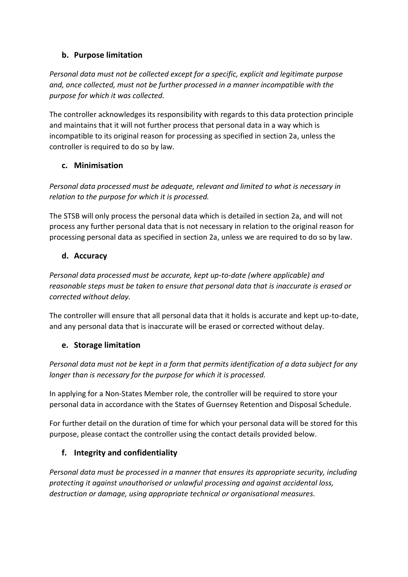#### **b. Purpose limitation**

*Personal data must not be collected except for a specific, explicit and legitimate purpose and, once collected, must not be further processed in a manner incompatible with the purpose for which it was collected.* 

The controller acknowledges its responsibility with regards to this data protection principle and maintains that it will not further process that personal data in a way which is incompatible to its original reason for processing as specified in section 2a, unless the controller is required to do so by law.

#### **c. Minimisation**

*Personal data processed must be adequate, relevant and limited to what is necessary in relation to the purpose for which it is processed.* 

The STSB will only process the personal data which is detailed in section 2a, and will not process any further personal data that is not necessary in relation to the original reason for processing personal data as specified in section 2a, unless we are required to do so by law.

#### **d. Accuracy**

*Personal data processed must be accurate, kept up-to-date (where applicable) and reasonable steps must be taken to ensure that personal data that is inaccurate is erased or corrected without delay.* 

The controller will ensure that all personal data that it holds is accurate and kept up-to-date, and any personal data that is inaccurate will be erased or corrected without delay.

#### **e. Storage limitation**

*Personal data must not be kept in a form that permits identification of a data subject for any longer than is necessary for the purpose for which it is processed.* 

In applying for a Non-States Member role, the controller will be required to store your personal data in accordance with the States of Guernsey Retention and Disposal Schedule.

For further detail on the duration of time for which your personal data will be stored for this purpose, please contact the controller using the contact details provided below.

#### **f. Integrity and confidentiality**

*Personal data must be processed in a manner that ensures its appropriate security, including protecting it against unauthorised or unlawful processing and against accidental loss, destruction or damage, using appropriate technical or organisational measures.*